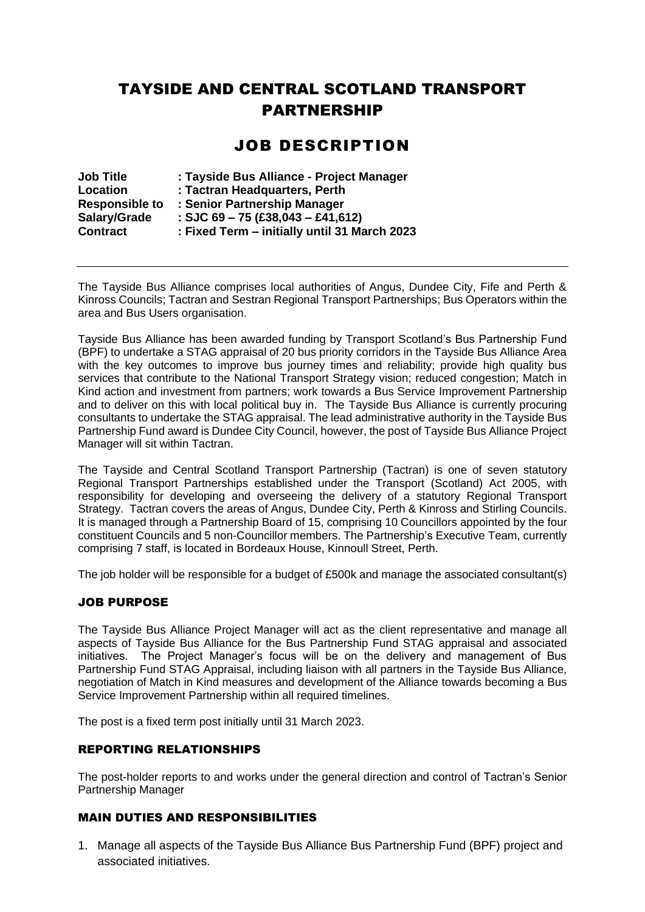## TAYSIDE AND CENTRAL SCOTLAND TRANSPORT PARTNERSHIP

## JOB DESCRIPTION

| <b>Job Title</b>      | : Tayside Bus Alliance - Project Manager     |
|-----------------------|----------------------------------------------|
| Location              | : Tactran Headquarters, Perth                |
| <b>Responsible to</b> | : Senior Partnership Manager                 |
| Salary/Grade          | : SJC 69 - 75 (£38,043 - £41,612)            |
| <b>Contract</b>       | : Fixed Term – initially until 31 March 2023 |

The Tayside Bus Alliance comprises local authorities of Angus, Dundee City, Fife and Perth & Kinross Councils; Tactran and Sestran Regional Transport Partnerships; Bus Operators within the area and Bus Users organisation.

Tayside Bus Alliance has been awarded funding by Transport Scotland's Bus Partnership Fund (BPF) to undertake a STAG appraisal of 20 bus priority corridors in the Tayside Bus Alliance Area with the key outcomes to improve bus journey times and reliability; provide high quality bus services that contribute to the National Transport Strategy vision; reduced congestion; Match in Kind action and investment from partners; work towards a Bus Service Improvement Partnership and to deliver on this with local political buy in. The Tayside Bus Alliance is currently procuring consultants to undertake the STAG appraisal. The lead administrative authority in the Tayside Bus Partnership Fund award is Dundee City Council, however, the post of Tayside Bus Alliance Project Manager will sit within Tactran.

The Tayside and Central Scotland Transport Partnership (Tactran) is one of seven statutory Regional Transport Partnerships established under the Transport (Scotland) Act 2005, with responsibility for developing and overseeing the delivery of a statutory Regional Transport Strategy. Tactran covers the areas of Angus, Dundee City, Perth & Kinross and Stirling Councils. It is managed through a Partnership Board of 15, comprising 10 Councillors appointed by the four constituent Councils and 5 non-Councillor members. The Partnership's Executive Team, currently comprising 7 staff, is located in Bordeaux House, Kinnoull Street, Perth.

The job holder will be responsible for a budget of £500k and manage the associated consultant(s)

#### JOB PURPOSE

The Tayside Bus Alliance Project Manager will act as the client representative and manage all aspects of Tayside Bus Alliance for the Bus Partnership Fund STAG appraisal and associated initiatives. The Project Manager's focus will be on the delivery and management of Bus Partnership Fund STAG Appraisal, including liaison with all partners in the Tayside Bus Alliance, negotiation of Match in Kind measures and development of the Alliance towards becoming a Bus Service Improvement Partnership within all required timelines.

The post is a fixed term post initially until 31 March 2023.

#### REPORTING RELATIONSHIPS

The post-holder reports to and works under the general direction and control of Tactran's Senior Partnership Manager

#### MAIN DUTIES AND RESPONSIBILITIES

1. Manage all aspects of the Tayside Bus Alliance Bus Partnership Fund (BPF) project and associated initiatives.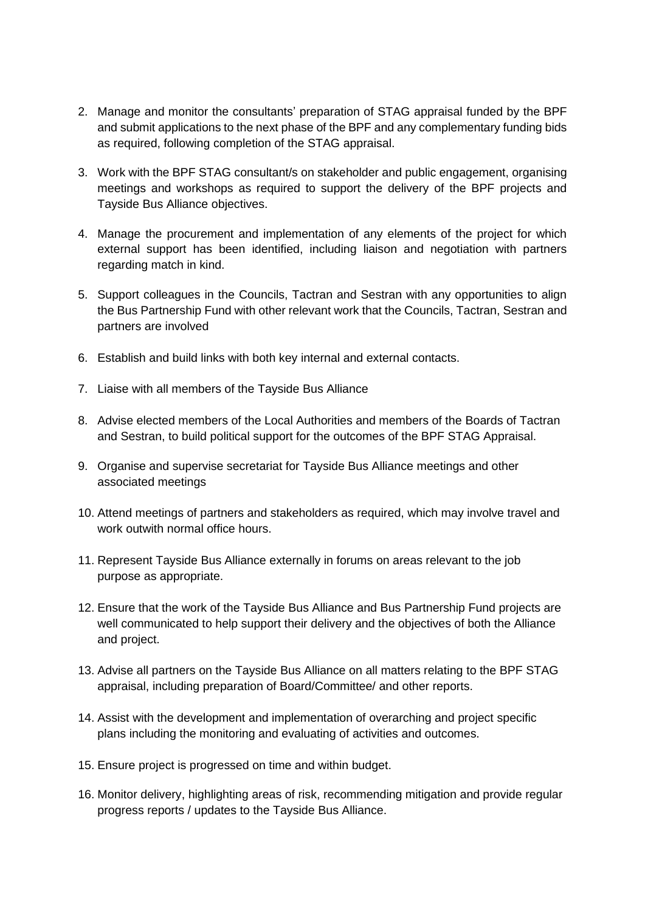- 2. Manage and monitor the consultants' preparation of STAG appraisal funded by the BPF and submit applications to the next phase of the BPF and any complementary funding bids as required, following completion of the STAG appraisal.
- 3. Work with the BPF STAG consultant/s on stakeholder and public engagement, organising meetings and workshops as required to support the delivery of the BPF projects and Tayside Bus Alliance objectives.
- 4. Manage the procurement and implementation of any elements of the project for which external support has been identified, including liaison and negotiation with partners regarding match in kind.
- 5. Support colleagues in the Councils, Tactran and Sestran with any opportunities to align the Bus Partnership Fund with other relevant work that the Councils, Tactran, Sestran and partners are involved
- 6. Establish and build links with both key internal and external contacts.
- 7. Liaise with all members of the Tayside Bus Alliance
- 8. Advise elected members of the Local Authorities and members of the Boards of Tactran and Sestran, to build political support for the outcomes of the BPF STAG Appraisal.
- 9. Organise and supervise secretariat for Tayside Bus Alliance meetings and other associated meetings
- 10. Attend meetings of partners and stakeholders as required, which may involve travel and work outwith normal office hours.
- 11. Represent Tayside Bus Alliance externally in forums on areas relevant to the job purpose as appropriate.
- 12. Ensure that the work of the Tayside Bus Alliance and Bus Partnership Fund projects are well communicated to help support their delivery and the objectives of both the Alliance and project.
- 13. Advise all partners on the Tayside Bus Alliance on all matters relating to the BPF STAG appraisal, including preparation of Board/Committee/ and other reports.
- 14. Assist with the development and implementation of overarching and project specific plans including the monitoring and evaluating of activities and outcomes.
- 15. Ensure project is progressed on time and within budget.
- 16. Monitor delivery, highlighting areas of risk, recommending mitigation and provide regular progress reports / updates to the Tayside Bus Alliance.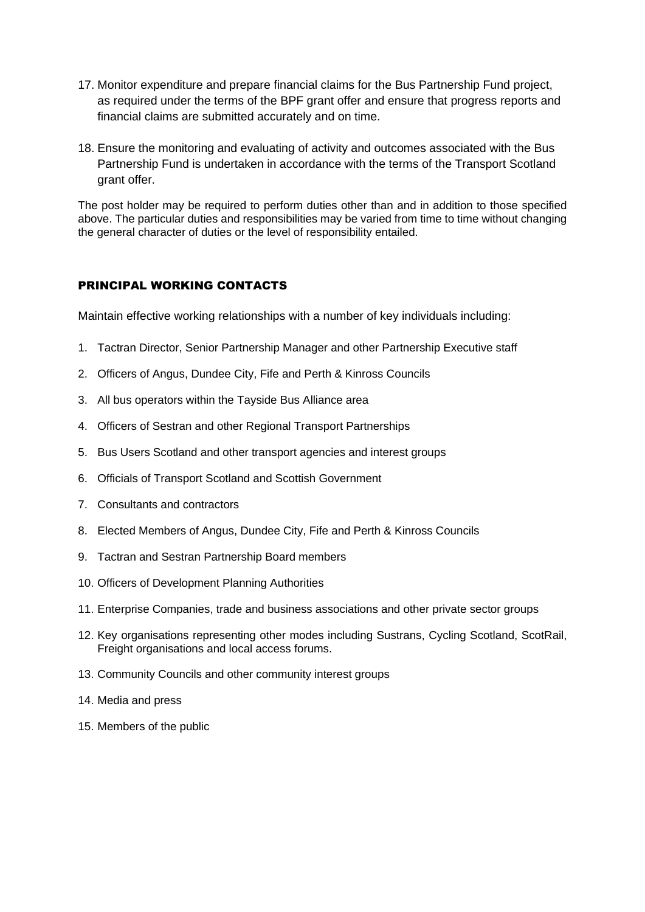- 17. Monitor expenditure and prepare financial claims for the Bus Partnership Fund project, as required under the terms of the BPF grant offer and ensure that progress reports and financial claims are submitted accurately and on time.
- 18. Ensure the monitoring and evaluating of activity and outcomes associated with the Bus Partnership Fund is undertaken in accordance with the terms of the Transport Scotland grant offer.

The post holder may be required to perform duties other than and in addition to those specified above. The particular duties and responsibilities may be varied from time to time without changing the general character of duties or the level of responsibility entailed.

### PRINCIPAL WORKING CONTACTS

Maintain effective working relationships with a number of key individuals including:

- 1. Tactran Director, Senior Partnership Manager and other Partnership Executive staff
- 2. Officers of Angus, Dundee City, Fife and Perth & Kinross Councils
- 3. All bus operators within the Tayside Bus Alliance area
- 4. Officers of Sestran and other Regional Transport Partnerships
- 5. Bus Users Scotland and other transport agencies and interest groups
- 6. Officials of Transport Scotland and Scottish Government
- 7. Consultants and contractors
- 8. Elected Members of Angus, Dundee City, Fife and Perth & Kinross Councils
- 9. Tactran and Sestran Partnership Board members
- 10. Officers of Development Planning Authorities
- 11. Enterprise Companies, trade and business associations and other private sector groups
- 12. Key organisations representing other modes including Sustrans, Cycling Scotland, ScotRail, Freight organisations and local access forums.
- 13. Community Councils and other community interest groups
- 14. Media and press
- 15. Members of the public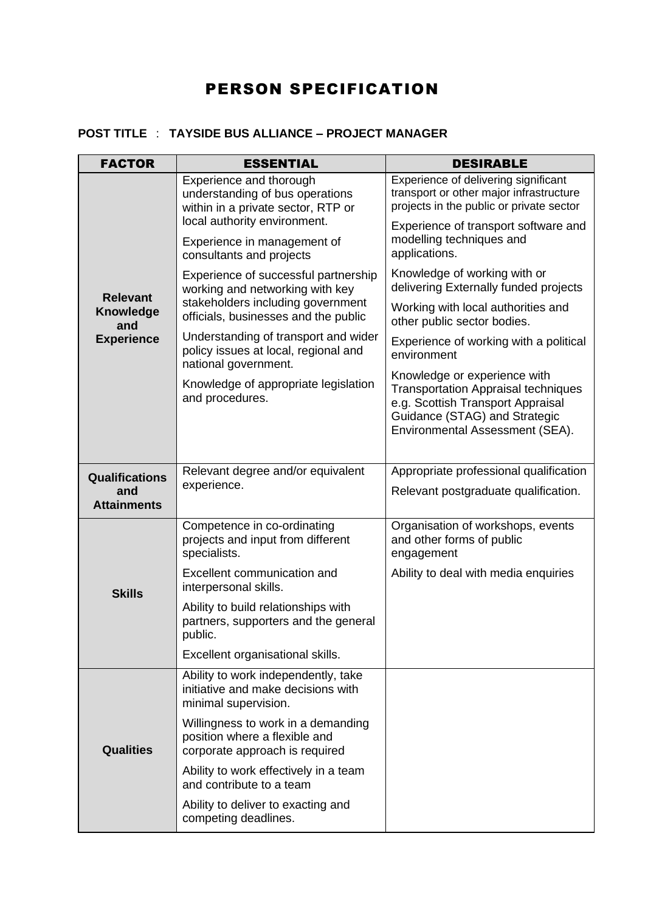# PERSON SPECIFICATION

### **POST TITLE** : **TAYSIDE BUS ALLIANCE – PROJECT MANAGER**

| <b>FACTOR</b>                                                   | <b>ESSENTIAL</b>                                                                                                                                     | <b>DESIRABLE</b>                                                                                                                                                                    |
|-----------------------------------------------------------------|------------------------------------------------------------------------------------------------------------------------------------------------------|-------------------------------------------------------------------------------------------------------------------------------------------------------------------------------------|
| <b>Relevant</b><br><b>Knowledge</b><br>and<br><b>Experience</b> | Experience and thorough<br>understanding of bus operations<br>within in a private sector, RTP or                                                     | Experience of delivering significant<br>transport or other major infrastructure<br>projects in the public or private sector                                                         |
|                                                                 | local authority environment.<br>Experience in management of<br>consultants and projects                                                              | Experience of transport software and<br>modelling techniques and<br>applications.                                                                                                   |
|                                                                 | Experience of successful partnership<br>working and networking with key<br>stakeholders including government<br>officials, businesses and the public | Knowledge of working with or<br>delivering Externally funded projects                                                                                                               |
|                                                                 |                                                                                                                                                      | Working with local authorities and<br>other public sector bodies.                                                                                                                   |
|                                                                 | Understanding of transport and wider<br>policy issues at local, regional and<br>national government.                                                 | Experience of working with a political<br>environment                                                                                                                               |
|                                                                 | Knowledge of appropriate legislation<br>and procedures.                                                                                              | Knowledge or experience with<br><b>Transportation Appraisal techniques</b><br>e.g. Scottish Transport Appraisal<br>Guidance (STAG) and Strategic<br>Environmental Assessment (SEA). |
| <b>Qualifications</b>                                           | Relevant degree and/or equivalent                                                                                                                    | Appropriate professional qualification                                                                                                                                              |
| and<br><b>Attainments</b>                                       | experience.                                                                                                                                          | Relevant postgraduate qualification.                                                                                                                                                |
| <b>Skills</b>                                                   | Competence in co-ordinating<br>projects and input from different<br>specialists.                                                                     | Organisation of workshops, events<br>and other forms of public<br>engagement                                                                                                        |
|                                                                 | Excellent communication and<br>interpersonal skills.                                                                                                 | Ability to deal with media enquiries                                                                                                                                                |
|                                                                 | Ability to build relationships with<br>partners, supporters and the general<br>public.                                                               |                                                                                                                                                                                     |
|                                                                 | Excellent organisational skills.                                                                                                                     |                                                                                                                                                                                     |
| <b>Qualities</b>                                                | Ability to work independently, take<br>initiative and make decisions with<br>minimal supervision.                                                    |                                                                                                                                                                                     |
|                                                                 | Willingness to work in a demanding<br>position where a flexible and<br>corporate approach is required                                                |                                                                                                                                                                                     |
|                                                                 | Ability to work effectively in a team<br>and contribute to a team                                                                                    |                                                                                                                                                                                     |
|                                                                 | Ability to deliver to exacting and<br>competing deadlines.                                                                                           |                                                                                                                                                                                     |